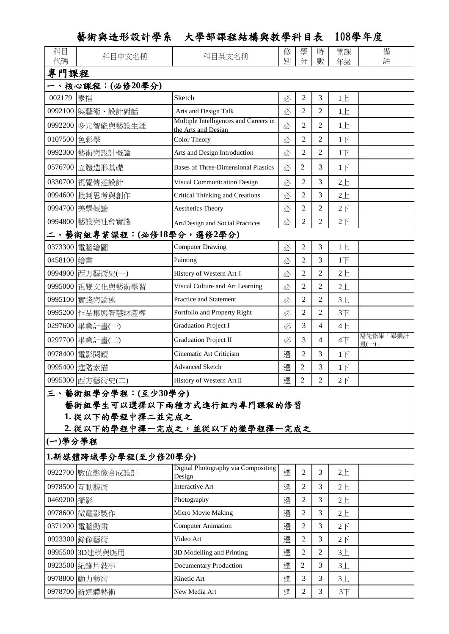|             |                                        | 藝術與造形設計學系 大學部課程結構與教學科目表 108學年度                               |        |                |                |                |                  |
|-------------|----------------------------------------|--------------------------------------------------------------|--------|----------------|----------------|----------------|------------------|
| 科目<br>代碼    | 科目中文名稱                                 | 科目英文名稱                                                       | 修<br>別 | 學<br>分         | 時<br>數         | 開課<br>年級       | 備<br>註           |
| 專門課程        |                                        |                                                              |        |                |                |                |                  |
|             | 一、核心課程:(必修20學分)                        |                                                              |        |                |                |                |                  |
| 002179      | 素描                                     | Sketch                                                       | 必      | 2              | $\overline{3}$ | 1E             |                  |
|             | 0992100 與藝術、設計對話                       | Arts and Design Talk                                         | 必      | 2              | 2              | 1E             |                  |
|             | 0992200 多元智能與藝設生涯                      | Multiple Intelligences and Careers in<br>the Arts and Design | 必      | 2              | 2              | 1E             |                  |
| 0107500 色彩學 |                                        | <b>Color Theory</b>                                          | 必      | 2              | $\overline{c}$ | 1 <sub>l</sub> |                  |
|             | 0992300 藝術與設計概論                        | Arts and Design Introduction                                 | 必      | 2              | $\overline{c}$ | 1 <sub>T</sub> |                  |
|             | 0576700 立體造形基礎                         | <b>Bases of Three-Dimensional Plastics</b>                   | 必      | 2              | 3              | 1 <sup>T</sup> |                  |
|             | 0330700 視覺傳達設計                         | Visual Communication Design                                  | 必      | 2              | 3              | $2 +$          |                  |
|             | 0994600 批判思考與創作                        | <b>Critical Thinking and Creations</b>                       | 必      | 2              | 3              | 2E             |                  |
|             | 0994700 美學概論                           | <b>Aesthetics Theory</b>                                     | 必      | 2              | $\overline{c}$ | $2\top$        |                  |
|             | 0994800 藝設與社會實踐                        | Art/Design and Social Practices                              | 必      | 2              | $\overline{2}$ | 2 <sup>T</sup> |                  |
|             | 二、藝術組專業課程:(必修18學分,選修2學分)               |                                                              |        |                |                |                |                  |
|             | 0373300 電腦繪圖                           | <b>Computer Drawing</b>                                      | 必      | 2              | $\overline{3}$ | 1E             |                  |
| 0458100 繪畫  |                                        | Painting                                                     | 必      | 2              | 3              | 1 <sub>l</sub> |                  |
|             | 0994900 西方藝術史(一)                       | History of Western Art I                                     | 必      | 2              | $\overline{2}$ | 2E             |                  |
|             | 0995000 視覺文化與藝術學習                      | Visual Culture and Art Learning                              | 必      | 2              | $\overline{c}$ | 2E             |                  |
|             | 0995100 實踐與論述                          | Practice and Statement                                       | 必      | 2              | 2              | $3+$           |                  |
|             | 0995200 作品集與智慧財產權                      | Portfolio and Property Right                                 | 必      | 2              | 2              | 3 <sup>7</sup> |                  |
|             | 0297600 畢業計畫(一)                        | <b>Graduation Project I</b>                                  | 必      | 3              | $\overline{4}$ | 4E             |                  |
|             | 0297700 畢業計畫(二)                        | <b>Graduation Project II</b>                                 | 必      | 3              | 4              | $4+$           | 需先修畢「畢業計<br>畫(一) |
|             | 0978400 電影閱讀                           | Cinematic Art Criticism                                      | 選      | $\overline{2}$ | 3              | 1 <sub>T</sub> |                  |
|             | 0995400 進階素描                           | <b>Advanced Sketch</b>                                       | 選      | $\overline{2}$ | 3              | $1+$           |                  |
|             | 0995300 西方藝術史(二)                       | History of Western Art II                                    | 選      | 2              | 2              | 2 <sub>T</sub> |                  |
| (一)學分學程     | 三、藝術組學分學程:(至少30學分)<br>1. 從以下的學程中擇二並完成之 | 藝術組學生可以選擇以下兩種方式進行組內專門課程的修習<br>2.從以下的學程中擇一完成之,並從以下的微學程擇一完成之   |        |                |                |                |                  |
|             | 1.新媒體跨域學分學程(至少修20學分)                   |                                                              |        |                |                |                |                  |
|             | 0922700 數位影像合成設計                       | Digital Photography via Compositing<br>Design                | 選      | 2              | 3              | $2+$           |                  |
|             | 0978500 互動藝術                           | <b>Interactive Art</b>                                       | 選      | 2              | 3              | 2E             |                  |
| 0469200 攝影  |                                        | Photography                                                  | 選      | 2              | 3              | $2+$           |                  |
|             | 0978600 微電影製作                          | Micro Movie Making                                           | 選      | 2              | 3              | $2+$           |                  |
|             | 0371200 電腦動畫                           | <b>Computer Animation</b>                                    | 選      | 2              | 3              | 2 <sub>T</sub> |                  |
|             | 0923300 錄像藝術                           | Video Art                                                    | 選      | $\overline{c}$ | 3              | 2 <sub>T</sub> |                  |
|             | 0995500 3D建模與應用                        | 3D Modelling and Printing                                    | 選      | 2              | 2              | $3+$           |                  |
|             |                                        |                                                              |        |                |                |                |                  |
|             | 0923500 紀錄片敍事                          | <b>Documentary Production</b>                                | 選      | 2              | 3              | $3+$           |                  |
|             | 0978800 動力藝術                           | Kinetic Art                                                  | 選      | 3              | 3              | $3+$           |                  |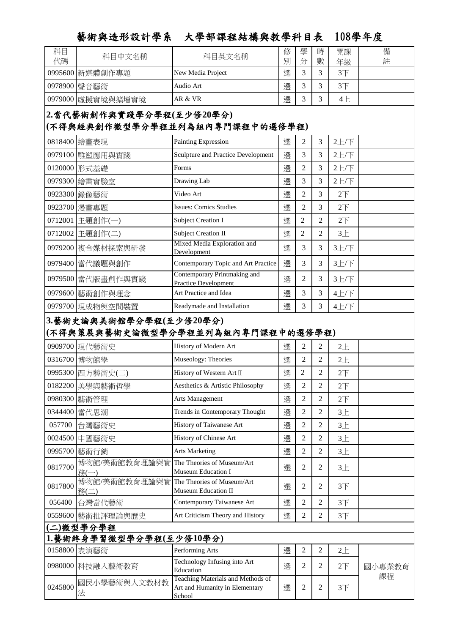## 藝術與造形設計學系 大學部課程結構與教學科目表 108學年度

| 科目<br>代碼                          | 科目中文名稱                   | 科目英文名稱                                                                        | 修<br>別 | 學<br>分         | 時<br>數         | 開課<br>年級       | 備<br>註       |  |  |
|-----------------------------------|--------------------------|-------------------------------------------------------------------------------|--------|----------------|----------------|----------------|--------------|--|--|
|                                   | 0995600 新媒體創作專題          | New Media Project                                                             | 選      | 3              | 3              | $3+$           |              |  |  |
|                                   | 0978900 聲音藝術             | Audio Art                                                                     | 選      | 3              | 3              | $3+$           |              |  |  |
|                                   | 0979000 虛擬實境與擴增實境        | AR & VR                                                                       | 選      | 3              | 3              | 4E             |              |  |  |
|                                   | 2.當代藝術創作與實踐學分學程(至少修20學分) |                                                                               |        |                |                |                |              |  |  |
|                                   |                          | (不得與經典創作微型學分學程並列為組內專門課程中的選修學程)                                                |        |                |                |                |              |  |  |
|                                   | 0818400 繪畫表現             | <b>Painting Expression</b>                                                    | 選      | 2              | 3              | 2上/下           |              |  |  |
|                                   | 0979100 雕塑應用與實踐          | Sculpture and Practice Development                                            | 選      | 3              | 3              | 2上/下           |              |  |  |
|                                   | 0120000 形式基礎             | Forms                                                                         | 選      | $\overline{c}$ | 3              | 2上/下           |              |  |  |
|                                   | 0979300 繪畫實驗室            | Drawing Lab                                                                   | 選      | 3              | 3              | 2上/下           |              |  |  |
|                                   | 0923300 錄像藝術             | Video Art                                                                     | 選      | $\overline{c}$ | 3              | 2 <sub>T</sub> |              |  |  |
|                                   | 0923700 漫畫專題             | <b>Issues: Comics Studies</b>                                                 | 選      | $\overline{c}$ | 3              | 2 <sup>T</sup> |              |  |  |
|                                   | 0712001 主題創作(一)          | <b>Subject Creation I</b>                                                     | 選      | $\overline{2}$ | $\overline{2}$ | 2 <sup>T</sup> |              |  |  |
|                                   | 0712002 主題創作(二)          | <b>Subject Creation II</b>                                                    | 選      | $\overline{2}$ | $\overline{2}$ | 3E             |              |  |  |
|                                   | 0979200 複合媒材探索與研發        | Mixed Media Exploration and<br>Development                                    | 選      | 3              | 3              | 3上/下           |              |  |  |
|                                   | 0979400 當代議題與創作          | Contemporary Topic and Art Practice                                           | 選      | 3              | 3              | 3上/下           |              |  |  |
|                                   | 0979500 當代版畫創作與實踐        | Contemporary Printmaking and<br><b>Practice Development</b>                   | 選      | $\overline{2}$ | 3              | 3上/下           |              |  |  |
|                                   | 0979600 藝術創作與理念          | Art Practice and Idea                                                         | 選      | 3              | 3              | 4上/下           |              |  |  |
|                                   | 0979700 現成物與空間裝置         | Readymade and Installation                                                    | 選      | 3              | 3              | 4上/下           |              |  |  |
| 3.藝術史論與美術館學分學程(至少修20學分)           |                          |                                                                               |        |                |                |                |              |  |  |
| (不得與策展與藝術史論微型學分學程並列為組內專門課程中的選修學程) |                          |                                                                               |        |                |                |                |              |  |  |
|                                   | 0909700 現代藝術史            | History of Modern Art                                                         | 選      | $\overline{c}$ | 2              | 2E             |              |  |  |
|                                   | 0316700 博物館學             | Museology: Theories                                                           | 選      | 2              | 2              | $2 +$          |              |  |  |
|                                   | 0995300 西方藝術史(二)         | History of Western Art II                                                     | 選      | 2              | $\overline{2}$ | 2 <sup>7</sup> |              |  |  |
|                                   | 0182200 美學與藝術哲學          | Aesthetics & Artistic Philosophy                                              | 選      | $\overline{2}$ | $\overline{c}$ | 2 <sup>7</sup> |              |  |  |
|                                   | 0980300 藝術管理             | Arts Management                                                               | 選      | $\overline{2}$ | 2              | 2 <sup>7</sup> |              |  |  |
| 0344400                           | 當代思潮                     | Trends in Contemporary Thought                                                | 選      | $\overline{c}$ | $\overline{2}$ | 3E             |              |  |  |
| 057700                            | 台灣藝術史                    | <b>History of Taiwanese Art</b>                                               | 選      | $\overline{c}$ | 2              | 3E             |              |  |  |
|                                   | 0024500 中國藝術史            | History of Chinese Art                                                        | 選      | $\overline{c}$ | $\overline{c}$ | 3E             |              |  |  |
|                                   | 0995700 藝術行銷             | <b>Arts Marketing</b>                                                         | 選      | $\overline{c}$ | 2              | $3+$           |              |  |  |
| 0817700                           | 博物館/美術館教育理論與實<br>務(一)    | The Theories of Museum/Art<br>Museum Education I                              | 選      | 2              | $\overline{2}$ | $3+$           |              |  |  |
| 0817800                           | 博物館/美術館教育理論與實<br>務(二)    | The Theories of Museum/Art<br><b>Museum Education II</b>                      | 選      | 2              | 2              | 3 <sup>T</sup> |              |  |  |
| 056400                            | 台灣當代藝術                   | Contemporary Taiwanese Art                                                    | 選      | 2              | 2              | $3+$           |              |  |  |
|                                   | 0559600 藝術批評理論與歷史        | Art Criticism Theory and History                                              | 選      | 2              | $\overline{2}$ | 3 <sup>7</sup> |              |  |  |
| (二)微型學分學程                         |                          |                                                                               |        |                |                |                |              |  |  |
|                                   | 1.藝術終身學習微型學分學程(至少修10學分)  |                                                                               |        |                |                |                |              |  |  |
|                                   | 0158800 表演藝術             | Performing Arts                                                               | 選      | $\overline{c}$ | $\overline{2}$ | 2E             |              |  |  |
|                                   | 0980000 科技融入藝術教育         | Technology Infusing into Art<br>Education                                     | 選      | 2              | 2              | 2 <sup>T</sup> | 國小專業教育<br>課程 |  |  |
| 0245800                           | 國民小學藝術與人文教材教<br>法        | Teaching Materials and Methods of<br>Art and Humanity in Elementary<br>School | 選      | $\overline{c}$ | $\overline{c}$ | 3 <sup>T</sup> |              |  |  |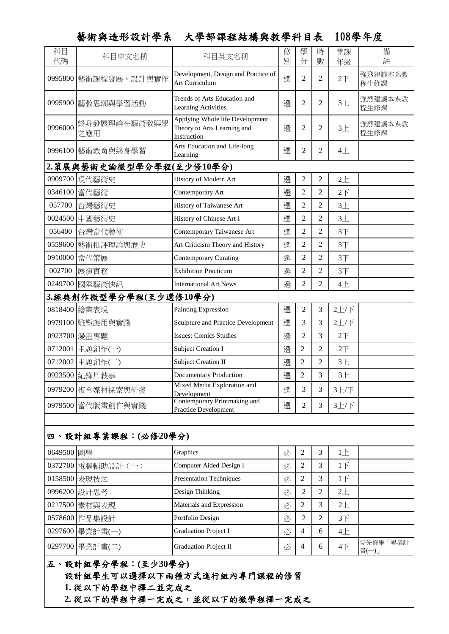## 藝術與造形設計學系 大學部課程結構與教學科目表 108學年度

| 科目<br>代碼                                         | 科目中文名稱                   | 科目英文名稱                                                                        | 修<br>別 | 學<br>分         | 時<br>數         | 開課<br>年級        | 備<br>註            |  |
|--------------------------------------------------|--------------------------|-------------------------------------------------------------------------------|--------|----------------|----------------|-----------------|-------------------|--|
|                                                  | 0995800 藝術課程發展、設計與實作     | Development, Design and Practice of<br>Art Curriculum                         | 選      | $\overline{2}$ | 2              | $2\overline{5}$ | 強烈建議本系教<br>程生修課   |  |
|                                                  | 0995900 藝教思潮與學習活動        | Trends of Arts Education and<br>Learning Activities                           | 選      | $\overline{2}$ | 2              | 3E              | 強烈建議本系教<br>程生修課   |  |
| 0996000                                          | 終身發展理論在藝術教與學<br>之應用      | Applying Whole life Development<br>Theory to Arts Learning and<br>Instruction | 選      | 2              | 2              | 3E              | 強烈建議本系教<br>程生修課   |  |
|                                                  | 0996100 藝術教育與終身學習        | Arts Education and Life-long<br>Learning                                      | 選      | 2              | 2              | 4E              |                   |  |
|                                                  | 2.策展與藝術史論微型學分學程(至少修10學分) |                                                                               |        |                |                |                 |                   |  |
|                                                  | 0909700 現代藝術史            | History of Modern Art                                                         | 選      | 2              | $\overline{2}$ | 2E              |                   |  |
|                                                  | 0346100 當代藝術             | Contemporary Art                                                              | 選      | $\overline{2}$ | $\overline{2}$ | 2 <sup>7</sup>  |                   |  |
| 057700                                           | 台灣藝術史                    | History of Taiwanese Art                                                      | 選      | $\overline{c}$ | 2              | $3+$            |                   |  |
|                                                  | 0024500 中國藝術史            | History of Chinese Art-I                                                      | 選      | 2              | $\overline{2}$ | $3+$            |                   |  |
| 056400                                           | 台灣當代藝術                   | Contemporary Taiwanese Art                                                    | 選      | 2              | $\overline{2}$ | 3 <sup>7</sup>  |                   |  |
|                                                  | 0559600 藝術批評理論與歷史        | Art Criticism Theory and History                                              | 選      | $\overline{2}$ | $\overline{2}$ | $3+$            |                   |  |
|                                                  | 0910000 當代策展             | <b>Contemporary Curating</b>                                                  | 選      | $\overline{2}$ | $\overline{2}$ | $3+$            |                   |  |
| 002700                                           | 展演實務                     | <b>Exhibition Practicum</b>                                                   | 選      | $\overline{c}$ | 2              | $3+$            |                   |  |
|                                                  | 0249700 國際藝術快訊           | <b>International Art News</b>                                                 | 選      | 2              | $\overline{2}$ | 4E              |                   |  |
|                                                  | 3.經典創作微型學分學程(至少選修10學分)   |                                                                               |        |                |                |                 |                   |  |
|                                                  | 0818400 繪畫表現             | Painting Expression                                                           | 選      | $\overline{c}$ | 3              | 2上/下            |                   |  |
|                                                  | 0979100 雕塑應用與實踐          | Sculpture and Practice Development                                            | 選      | 3              | 3              | 2上/下            |                   |  |
|                                                  | 0923700 漫畫專題             | <b>Issues: Comics Studies</b>                                                 | 選      | $\overline{2}$ | $\overline{3}$ | 2 <sup>T</sup>  |                   |  |
|                                                  | 0712001 主題創作(一)          | <b>Subject Creation I</b>                                                     | 選      | $\overline{c}$ | $\overline{2}$ | 2 <sup>T</sup>  |                   |  |
|                                                  | 0712002 主題創作(二)          | <b>Subject Creation II</b>                                                    | 選      | $\overline{c}$ | $\overline{2}$ | 3E              |                   |  |
|                                                  | 0923500 紀錄片敍事            | <b>Documentary Production</b>                                                 | 選      | $\overline{c}$ | 3              | 3E              |                   |  |
|                                                  | 0979200 複合媒材探索與研發        | Mixed Media Exploration and<br>Development                                    | 選      | 3              | 3              | 3上/下            |                   |  |
|                                                  | 0979500 當代版畫創作與實踐        | Contemporary Printmaking and<br><b>Practice Development</b>                   | 選      | 2              | 3              | 3上/下            |                   |  |
|                                                  |                          |                                                                               |        |                |                |                 |                   |  |
| 四、設計組專業課程:(必修20學分)                               |                          |                                                                               |        |                |                |                 |                   |  |
| 0649500 圖學                                       |                          | Graphics                                                                      | 必      | $\overline{2}$ | 3              | $1 \pm$         |                   |  |
|                                                  | 0372700 電腦輔助設計 (一)       | Computer Aided Design I                                                       | 必      | 2              | 3              | 1 <sub>T</sub>  |                   |  |
|                                                  | 0158500 表現技法             | <b>Presentation Techniques</b>                                                | 必      | 2              | 3              | 1 <sub>T</sub>  |                   |  |
|                                                  | 0996200 設計思考             | Design Thinking                                                               | 必      | 2              | $\overline{2}$ | 2E              |                   |  |
|                                                  | 0217500 素材與表現            | Materials and Expression                                                      | 必      | 2              | 3              | 2E              |                   |  |
|                                                  | 0578600 作品集設計            | Portfolio Design                                                              | 必      | 2              | $\overline{2}$ | 3 <sup>7</sup>  |                   |  |
|                                                  | 0297600 畢業計畫(一)          | <b>Graduation Project I</b>                                                   | 必      | $\overline{4}$ | 6              | 4E              |                   |  |
|                                                  | 0297700 畢業計畫(二)          | <b>Graduation Project II</b>                                                  | 必      | 4              | 6              | $4+$            | 需先修畢「畢業計<br>畫(一)」 |  |
| 五、設計組學分學程:(至少30學分)<br>設計組學生可以選擇以下兩種方式進行組內專門課程的修習 |                          |                                                                               |        |                |                |                 |                   |  |

**1.** 從以下的學程中擇二並完成之

**2.** 從以下的學程中擇一完成之,並從以下的微學程擇一完成之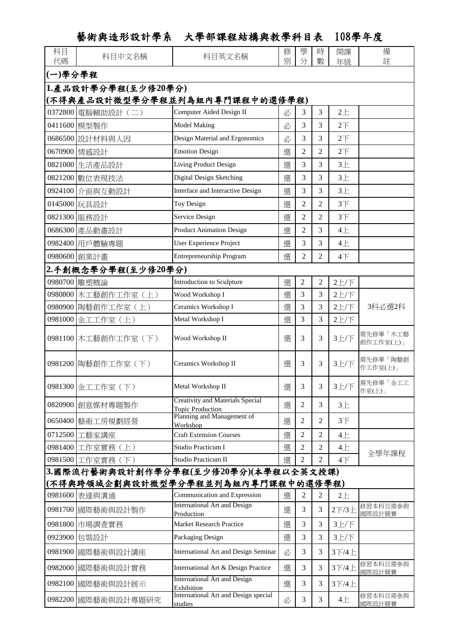|                                       | 藝術與造形設計學系            | 大學部課程結構與教學科目表                                                       |   |                | 108學年度         |                |                       |  |  |
|---------------------------------------|----------------------|---------------------------------------------------------------------|---|----------------|----------------|----------------|-----------------------|--|--|
| 科目                                    | 科目中文名稱               | 科目英文名稱                                                              | 修 | 學              | 時              | 開課             | 備                     |  |  |
| 代碼                                    |                      |                                                                     | 別 | 分              | 數              | 年級             | 註                     |  |  |
| (一)學分學程                               |                      |                                                                     |   |                |                |                |                       |  |  |
|                                       | 1.產品設計學分學程(至少修20學分)  | (不得與產品設計微型學分學程並列為組內專門課程中的選修學程)                                      |   |                |                |                |                       |  |  |
| 0372800                               | 電腦輔助設計(二)            | Computer Aided Design II                                            | 必 | 3              | 3              | $2 +$          |                       |  |  |
|                                       | 0411600 模型製作         | <b>Model Making</b>                                                 | 必 | 3              | 3              | 2 <sup>7</sup> |                       |  |  |
|                                       | 0686500 設計材料與人因      | Design Material and Ergonomics                                      | 必 | 3              | 3              | 2 <sup>T</sup> |                       |  |  |
| 0670900                               | 情感設計                 | <b>Emotion Design</b>                                               | 選 | $\overline{2}$ | 2              | 2 <sup>7</sup> |                       |  |  |
| 0821000                               | 生活產品設計               | Living Product Design                                               | 選 | 3              | 3              | 3E             |                       |  |  |
|                                       | 0821200 數位表現技法       | Digital Design Sketching                                            | 選 | 3              | 3              | $3+$           |                       |  |  |
| 0924100                               | 介面與互動設計              | Interface and Interactive Design                                    | 選 | 3              | 3              | $3+$           |                       |  |  |
|                                       | 0145000 玩具設計         | Toy Design                                                          | 選 | $\overline{c}$ | $\overline{2}$ | 3 <sup>7</sup> |                       |  |  |
|                                       | 0821300 服務設計         | Service Design                                                      | 選 | 2              | $\overline{2}$ | $3+$           |                       |  |  |
|                                       | 0686300 產品動畫設計       | <b>Product Animation Design</b>                                     | 選 | $\overline{2}$ | 3              | 4E             |                       |  |  |
|                                       | 0982400 用戶體驗專題       | User Experience Project                                             | 選 | 3              | 3              | 4E             |                       |  |  |
|                                       | 0980600 創業計畫         | Entrepreneurship Program                                            | 選 | 2              | 2              | $4+$           |                       |  |  |
| 2.手創概念學分學程(至少修20學分)                   |                      |                                                                     |   |                |                |                |                       |  |  |
| 0980700                               | 雕塑概論                 | Introduction to Sculpture                                           | 選 | $\mathfrak 2$  | $\overline{2}$ | 2上/下           |                       |  |  |
|                                       | 0980800 木工藝創作工作室(上)  | Wood Workshop I                                                     | 選 | 3              | 3              | 2上/下           |                       |  |  |
|                                       | 0980900   陶藝創作工作室(上) | Ceramics Workshop I                                                 | 選 | 3              | 3              | 2上/下           | 3科必選2科                |  |  |
| 0981000                               | 金工工作室(上)             | Metal Workshop I                                                    | 選 | 3              | 3              | 2上/下           |                       |  |  |
|                                       | 0981100 木工藝創作工作室(下)  | Wood Workshop II                                                    | 選 | 3              | 3              | 3上/下           | 需先修畢「木工藝<br>創作工作室(上)」 |  |  |
|                                       | 0981200 陶藝創作工作室(下)   | Ceramics Workshop II                                                | 選 | 3              | 3              | 3上/下           | 需先修畢「陶藝創<br>作工作室(上)」  |  |  |
| 0981300                               | 金工工作室(下)             | Metal Workshop II                                                   | 選 | 3              | 3              | 3上/下           | 需先修畢「金工工<br>作室(上)」    |  |  |
| 0820900                               | 創意媒材專題製作             | <b>Creativity and Materials Special</b><br><b>Topic Production</b>  | 選 | 2              | 3              | 3E             |                       |  |  |
| 0650400                               | 藝術工房規劃經營             | Planning and Management of<br>Workshop                              | 選 | 2              | 2              | $3+$           |                       |  |  |
| 0712500                               | 工藝家講座                | <b>Craft Extension Courses</b>                                      | 選 | 2              | 2              | 4E             |                       |  |  |
| 0981400                               | 工作室實務(上)             | Studio Practicum I                                                  | 選 | 2              | $\overline{2}$ | 4E             |                       |  |  |
|                                       | 0981500 工作室實務 (下)    | Studio Practicum II                                                 | 選 | 2              | 2              | $4+$           | 全學年課程                 |  |  |
| 3.國際流行藝術與設計創作學分學程(至少修20學分)(本學程以全英文授課) |                      |                                                                     |   |                |                |                |                       |  |  |
|                                       |                      | (不得與跨領域企劃與設計微型學分學程並列為組內專門課程中的選修學程)                                  |   |                |                |                |                       |  |  |
| 0981600                               | 表達與溝通                | Communication and Expression<br><b>International Art and Design</b> | 選 | 2              | $\overline{c}$ | 2E             |                       |  |  |
| 0981700                               | 國際藝術與設計製作            | Production                                                          | 選 | 3              | 3              | 2下/3上          | 修習本科目需參與<br>國際設計競賽    |  |  |
| 0981800                               | 市場調査實務               | <b>Market Research Practice</b>                                     | 選 | 3              | 3              | 3上/下           |                       |  |  |
| 0923900                               | 包裝設計                 | Packaging Design                                                    | 選 | 3              | 3              | 3上/下           |                       |  |  |
| 0981900                               | 國際藝術與設計講座            | <b>International Art and Design Seminar</b>                         | 必 | 3              | 3              | 3下/4上          |                       |  |  |
| 0982000                               | 國際藝術與設計實務            | International Art & Design Practice                                 | 選 | 3              | 3              | 3下/4上          | 修習本科目需参與<br>國際設計競賽    |  |  |
| 0982100                               | 國際藝術與設計展示            | <b>International Art and Design</b><br>Exhibition                   | 選 | 3              | 3              | 3下/4上          |                       |  |  |
| 0982200                               | 國際藝術與設計專題研究          | <b>International Art and Design special</b><br>studies              | 必 | 3              | 3              | 4E             | 修習本科目需参與<br>國際設計競賽    |  |  |